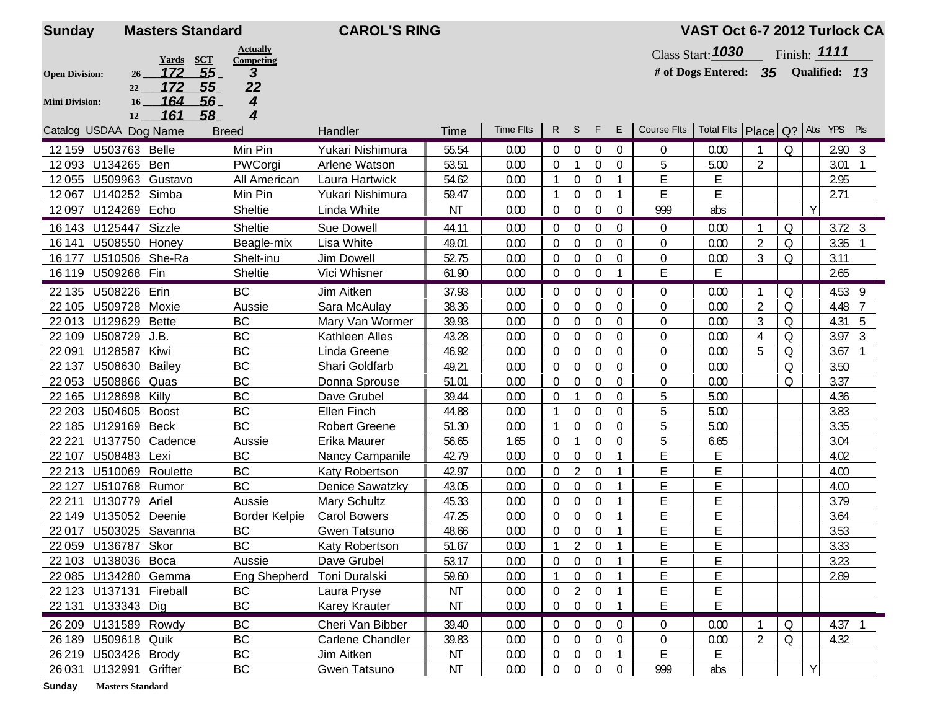| <b>Sunday</b>         |                         | <b>Masters Standard</b>          |                 | <b>CAROL'S RING</b>     |           |                  |                |                  |                  |                |                                                     | VAST Oct 6-7 2012 Turlock CA        |                |             |   |                |   |
|-----------------------|-------------------------|----------------------------------|-----------------|-------------------------|-----------|------------------|----------------|------------------|------------------|----------------|-----------------------------------------------------|-------------------------------------|----------------|-------------|---|----------------|---|
|                       |                         |                                  | <b>Actually</b> |                         |           |                  |                |                  |                  |                |                                                     | <b>Class Start: 1030</b>            |                |             |   | Finish: 1111   |   |
| <b>Open Division:</b> | 26                      | Yards<br><b>SCT</b><br>55<br>172 | Competing<br>3  |                         |           |                  |                |                  |                  |                |                                                     | # of Dogs Entered: 35 Qualified: 13 |                |             |   |                |   |
|                       | 22                      | 172<br>55_                       | 22              |                         |           |                  |                |                  |                  |                |                                                     |                                     |                |             |   |                |   |
| <b>Mini Division:</b> | 16 <sup>1</sup>         | 164<br>56                        | 4               |                         |           |                  |                |                  |                  |                |                                                     |                                     |                |             |   |                |   |
|                       | 12                      | 161<br>58_                       | 4               |                         |           |                  |                |                  |                  |                |                                                     |                                     |                |             |   |                |   |
|                       | Catalog USDAA Dog Name  |                                  | <b>Breed</b>    | Handler                 | Time      | <b>Time Flts</b> |                | $R$ S            | F.               | Е              | Course Fits   Total Fits   Place   Q?   Abs YPS Pts |                                     |                |             |   |                |   |
|                       | 12 159 U503763 Belle    |                                  | Min Pin         | Yukari Nishimura        | 55.54     | 0.00             | 0              | $\overline{0}$   | $\mathbf{0}$     | $\overline{0}$ | $\mathbf{0}$                                        | 0.00                                |                | Q           |   | $2.90 \quad 3$ |   |
|                       | 12093 U134265 Ben       |                                  | PWCorgi         | Arlene Watson           | 53.51     | 0.00             | $\overline{0}$ | $\mathbf{1}$     | $\overline{0}$   | $\overline{0}$ | 5                                                   | 5.00                                | $\overline{2}$ |             |   | 3.01           |   |
|                       |                         | 12055 U509963 Gustavo            | All American    | Laura Hartwick          | 54.62     | 0.00             |                | 0                | $\overline{0}$   |                | E                                                   | E                                   |                |             |   | 2.95           |   |
| 12067                 | U140252 Simba           |                                  | Min Pin         | Yukari Nishimura        | 59.47     | 0.00             | -1             | 0                | $\boldsymbol{0}$ |                | E                                                   | E                                   |                |             |   | 2.71           |   |
|                       | 12097 U124269 Echo      |                                  | Sheltie         | Linda White             | <b>NT</b> | 0.00             | $\overline{0}$ | $\boldsymbol{0}$ | $\boldsymbol{0}$ | $\overline{0}$ | 999                                                 | abs                                 |                |             | Y |                |   |
|                       | 16 143 U125447 Sizzle   |                                  | Sheltie         | Sue Dowell              | 44.11     | 0.00             | $\Omega$       | $\mathbf 0$      | $\Omega$         | $\Omega$       | $\overline{0}$                                      | 0.00                                |                | Q           |   | $3.72 \quad 3$ |   |
|                       | 16 141 U508550 Honey    |                                  | Beagle-mix      | Lisa White              | 49.01     | 0.00             | $\Omega$       | $\theta$         | $\Omega$         | $\Omega$       | $\Omega$                                            | 0.00                                | $\overline{2}$ | Q           |   | 3.35           |   |
|                       | 16 177 U510506 She-Ra   |                                  | Shelt-inu       | Jim Dowell              | 52.75     | 0.00             | $\overline{0}$ | 0                | $\boldsymbol{0}$ | $\mathbf 0$    | $\boldsymbol{0}$                                    | 0.00                                | 3              | Q           |   | 3.11           |   |
|                       | 16 119 U509268 Fin      |                                  | Sheltie         | Vici Whisner            | 61.90     | 0.00             | $\overline{0}$ | $\boldsymbol{0}$ | $\overline{0}$   |                | E                                                   | E                                   |                |             |   | 2.65           |   |
| 22 1 35               | U508226 Erin            |                                  | <b>BC</b>       | Jim Aitken              | 37.93     | 0.00             | 0              | 0                | $\overline{0}$   | $\overline{0}$ | $\mathbf{0}$                                        | 0.00                                |                | Q           |   | 4.53 9         |   |
|                       | 22 105 U509728 Moxie    |                                  | Aussie          | Sara McAulay            | 38.36     | 0.00             | $\Omega$       | $\boldsymbol{0}$ | $\Omega$         | $\Omega$       | $\boldsymbol{0}$                                    | 0.00                                | $\overline{2}$ | Q           |   | 4.48           | 7 |
|                       | 22 013 U129629 Bette    |                                  | BC              | Mary Van Wormer         | 39.93     | 0.00             | 0              | $\boldsymbol{0}$ | $\boldsymbol{0}$ | $\mathbf 0$    | $\boldsymbol{0}$                                    | 0.00                                | 3              | Q           |   | 4.31 5         |   |
|                       | 22 109 U508729 J.B.     |                                  | <b>BC</b>       | Kathleen Alles          | 43.28     | 0.00             | 0              | $\mathbf 0$      | $\mathbf 0$      | $\overline{0}$ | $\boldsymbol{0}$                                    | 0.00                                | 4              | $\Omega$    |   | $3.97 \quad 3$ |   |
| 22091                 | U128587                 | Kiwi                             | BC              | Linda Greene            | 46.92     | 0.00             | 0              | 0                | $\overline{0}$   | $\overline{0}$ | 0                                                   | 0.00                                | 5              | Q           |   | 3.67           |   |
| 22 137                | U508630 Bailey          |                                  | <b>BC</b>       | Shari Goldfarb          | 49.21     | 0.00             | 0              | $\boldsymbol{0}$ | $\overline{0}$   | $\Omega$       | $\boldsymbol{0}$                                    | 0.00                                |                | $\mathsf O$ |   | 3.50           |   |
|                       | 22 053 U508866 Quas     |                                  | BC              | Donna Sprouse           | 51.01     | 0.00             | 0              | $\overline{0}$   | $\Omega$         | $\Omega$       | $\mathbf{0}$                                        | 0.00                                |                | Q           |   | 3.37           |   |
|                       | 22 165 U128698 Killy    |                                  | <b>BC</b>       | Dave Grubel             | 39.44     | 0.00             | 0              |                  | $\Omega$         | $\theta$       | 5                                                   | 5.00                                |                |             |   | 4.36           |   |
|                       | 22 203 U504605 Boost    |                                  | BC              | Ellen Finch             | 44.88     | 0.00             | -1             | $\overline{0}$   | $\Omega$         | $\Omega$       | 5                                                   | 5.00                                |                |             |   | 3.83           |   |
|                       | 22 185 U129169 Beck     |                                  | <b>BC</b>       | <b>Robert Greene</b>    | 51.30     | 0.00             | -1             | 0                | $\theta$         | $\Omega$       | 5                                                   | 5.00                                |                |             |   | 3.35           |   |
| 22 2 2 1              |                         | U137750 Cadence                  | Aussie          | Erika Maurer            | 56.65     | 1.65             | $\overline{0}$ | $\mathbf{1}$     | 0                | 0              | 5                                                   | 6.65                                |                |             |   | 3.04           |   |
| 22 107                | U508483                 | Lexi                             | <b>BC</b>       | Nancy Campanile         | 42.79     | 0.00             | 0              | $\boldsymbol{0}$ | $\mathbf 0$      |                | E                                                   | E                                   |                |             |   | 4.02           |   |
| 22 21 3               | U510069                 | Roulette                         | <b>BC</b>       | Katy Robertson          | 42.97     | 0.00             | 0              | 2                | $\overline{0}$   |                | Ë                                                   | Ë                                   |                |             |   | 4.00           |   |
| 22 1 27               | U510768 Rumor           |                                  | <b>BC</b>       | <b>Denice Sawatzky</b>  | 43.05     | 0.00             | 0              | $\boldsymbol{0}$ | $\Omega$         |                | E                                                   | E                                   |                |             |   | 4.00           |   |
| 22 2 1 1              | U130779 Ariel           |                                  | Aussie          | Mary Schultz            | 45.33     | 0.00             | 0              | 0                | 0                |                | E                                                   | E                                   |                |             |   | 3.79           |   |
|                       | 22 149 U135052 Deenie   |                                  | Border Kelpie   | <b>Carol Bowers</b>     | 47.25     | 0.00             | $\Omega$       | $\boldsymbol{0}$ | $\Omega$         |                | E                                                   | E                                   |                |             |   | 3.64           |   |
|                       |                         | 22 017 U503025 Savanna           | <b>BC</b>       | Gwen Tatsuno            | 48.66     | 0.00             | $\overline{0}$ | $\pmb{0}$        | 0                |                | E                                                   | E                                   |                |             |   | 3.53           |   |
|                       | 22 059 U136787 Skor     |                                  | BC              | <b>Katy Robertson</b>   | 51.67     | 0.00             | $\mathbf{1}$   | $\overline{2}$   | $\mathbf{0}$     |                | Ė                                                   | Ë                                   |                |             |   | 3.33           |   |
|                       | 22 103 U138036 Boca     |                                  | Aussie          | Dave Grubel             | 53.17     | 0.00             | 0              | $\mathbf 0$      | $\mathbf 0$      |                | Ε                                                   | Ε                                   |                |             |   | 3.23           |   |
|                       | 22 085 U134280 Gemma    |                                  | Eng Shepherd    | Toni Duralski           | 59.60     | 0.00             |                | $\overline{0}$   | $\Omega$         |                | E                                                   | Е                                   |                |             |   | 2.89           |   |
|                       | 22 123 U137131 Fireball |                                  | BC              | Laura Pryse             | ΝT        | 0.00             | $\mathbf 0$    | 2                | $\overline{0}$   |                | E                                                   | Е                                   |                |             |   |                |   |
|                       | 22 131 U133343 Dig      |                                  | BC              | Karey Krauter           | <b>NT</b> | 0.00             | $\overline{0}$ | $\mathbf 0$      | $\overline{0}$   |                | E                                                   | Е                                   |                |             |   |                |   |
|                       | 26 209 U131589 Rowdy    |                                  | <b>BC</b>       | Cheri Van Bibber        | 39.40     | 0.00             | $\overline{0}$ | $\boldsymbol{0}$ | $\boldsymbol{0}$ | $\overline{0}$ | $\overline{0}$                                      | 0.00                                |                | $\Omega$    |   | $4.37$ 1       |   |
|                       | 26 189 U509618 Quik     |                                  | BC              | <b>Carlene Chandler</b> | 39.83     | 0.00             | 0              | $\boldsymbol{0}$ | $\mathbf{0}$     | $\overline{0}$ | $\boldsymbol{0}$                                    | 0.00                                | $\overline{2}$ | Q           |   | 4.32           |   |
|                       | 26 219 U503426 Brody    |                                  | BC              | Jim Aitken              | NT        | 0.00             | 0              | $\pmb{0}$        | $\boldsymbol{0}$ |                | E                                                   | E                                   |                |             |   |                |   |
|                       | 26 031 U132991 Grifter  |                                  | BC              | Gwen Tatsuno            | NT        | 0.00             | $\overline{0}$ | $\mathbf 0$      | $\mathbf{0}$     | $\mathbf 0$    | 999                                                 | abs                                 |                |             | Y |                |   |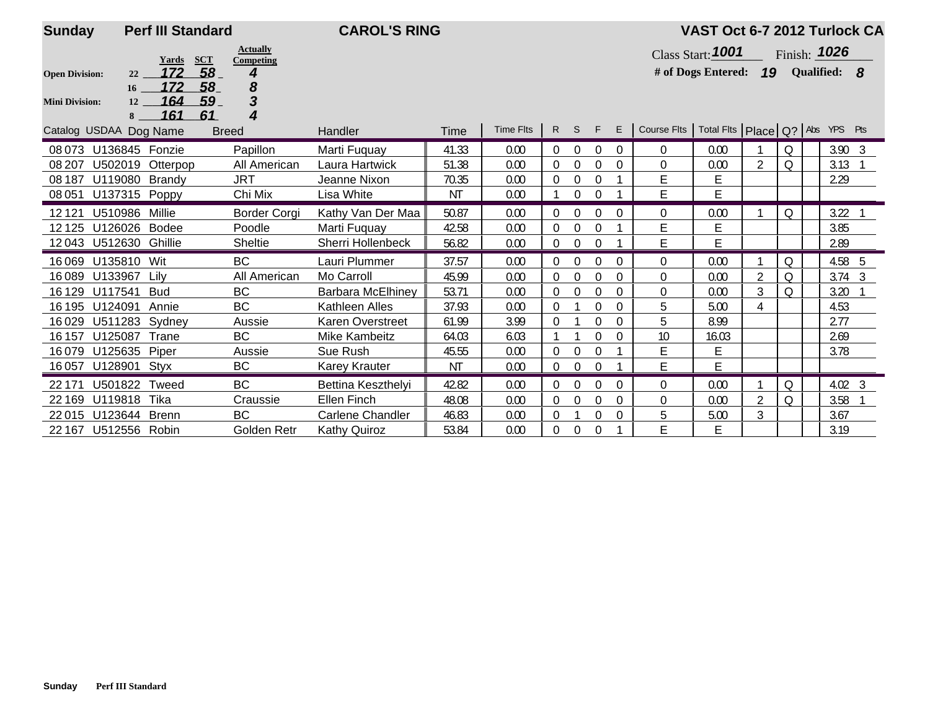| <b>Sunday</b>         | <b>Perf III Standard</b>    |                                            | <b>CAROL'S RING</b>      |           |                  |                  |                |                  |          |                                                     | VAST Oct 6-7 2012 Turlock CA |                |          |                |  |
|-----------------------|-----------------------------|--------------------------------------------|--------------------------|-----------|------------------|------------------|----------------|------------------|----------|-----------------------------------------------------|------------------------------|----------------|----------|----------------|--|
|                       | Yards                       | <b>Actually</b><br><b>SCT</b><br>Competing |                          |           |                  |                  |                |                  |          |                                                     | Class Start: $1001$          |                |          | Finish: 1026   |  |
| <b>Open Division:</b> | 172<br>22<br>172            | 58<br>4<br>8<br>58                         |                          |           |                  |                  |                |                  |          |                                                     | # of Dogs Entered: 19        |                |          | Qualified: 8   |  |
| <b>Mini Division:</b> | 16<br>164<br>12<br>161<br>8 | 3<br>59<br>61<br>4                         |                          |           |                  |                  |                |                  |          |                                                     |                              |                |          |                |  |
|                       | Catalog USDAA Dog Name      | <b>Breed</b>                               | Handler                  | Time      | <b>Time Flts</b> |                  | $R$ S          | F                | E        | Course Flts   Total Flts   Place   Q?   Abs YPS Pts |                              |                |          |                |  |
|                       | 08 073 U136845 Fonzie       | Papillon                                   | Marti Fuguay             | 41.33     | 0.00             | $\Omega$         | $\Omega$       | $\Omega$         | $\Omega$ | $\Omega$                                            | 0.00                         |                | Q        | $3.90 \quad 3$ |  |
| 08 207                | U502019<br>Otterpop         | All American                               | Laura Hartwick           | 51.38     | 0.00             | $\overline{0}$   | $\mathbf 0$    | $\Omega$         | $\Omega$ | $\mathbf 0$                                         | 0.00                         | $\overline{2}$ | $\Omega$ | 3.13           |  |
| 08 187                | U119080 Brandy              | <b>JRT</b>                                 | Jeanne Nixon             | 70.35     | 0.00             | $\Omega$         | $\Omega$       | 0                |          | E                                                   | Е                            |                |          | 2.29           |  |
| 08 051                | U137315 Poppy               | Chi Mix                                    | Lisa White               | <b>NT</b> | 0.00             |                  | $\theta$       | $\Omega$         |          | E                                                   | E                            |                |          |                |  |
| 12121                 | U510986<br>Millie           | Border Corgi                               | Kathy Van Der Maa        | 50.87     | 0.00             | $\Omega$         | $\Omega$       | 0                | $\Omega$ | 0                                                   | 0.00                         |                | $\Omega$ | 3.22           |  |
| 12125                 | U126026<br>Bodee            | Poodle                                     | Marti Fuguay             | 42.58     | 0.00             | $\Omega$         | $\Omega$       | $\Omega$         |          | E                                                   | E                            |                |          | 3.85           |  |
| 12043                 | U512630<br>Ghillie          | Sheltie                                    | Sherri Hollenbeck        | 56.82     | 0.00             | 0                | $\mathbf 0$    | $\boldsymbol{0}$ |          | E                                                   | E                            |                |          | 2.89           |  |
| 16069                 | U135810 Wit                 | <b>BC</b>                                  | Lauri Plummer            | 37.57     | 0.00             | $\Omega$         | $\theta$       | $\Omega$         | $\Omega$ | $\mathbf{0}$                                        | 0.00                         |                | Q        | 4.58 5         |  |
| 16089                 | U133967<br>Lily             | All American                               | Mo Carroll               | 45.99     | 0.00             | $\boldsymbol{0}$ | $\mathbf{0}$   | $\Omega$         | $\Omega$ | $\Omega$                                            | 0.00                         | $\overline{2}$ | $\Omega$ | $3.74 \quad 3$ |  |
| 16 1 29               | U117541<br><b>Bud</b>       | <b>BC</b>                                  | <b>Barbara McElhiney</b> | 53.71     | 0.00             | $\Omega$         | $\Omega$       | 0                | $\Omega$ | 0                                                   | 0.00                         | 3              | Q        | 3.20           |  |
| 16 195                | U124091<br>Annie            | <b>BC</b>                                  | Kathleen Alles           | 37.93     | 0.00             | $\Omega$         |                | $\Omega$         | $\Omega$ | 5                                                   | 5.00                         | 4              |          | 4.53           |  |
| 16029                 | U511283<br>Sydney           | Aussie                                     | <b>Karen Overstreet</b>  | 61.99     | 3.99             | $\Omega$         |                | $\theta$         | $\theta$ | 5                                                   | 8.99                         |                |          | 2.77           |  |
| 16 157                | Trane<br>U125087            | <b>BC</b>                                  | <b>Mike Kambeitz</b>     | 64.03     | 6.03             |                  |                | 0                | $\Omega$ | 10                                                  | 16.03                        |                |          | 2.69           |  |
| 16079                 | U125635<br>Piper            | Aussie                                     | Sue Rush                 | 45.55     | 0.00             | $\overline{0}$   | $\Omega$       | 0                |          | E                                                   | Ε                            |                |          | 3.78           |  |
| 16057                 | U128901<br>Styx             | BC                                         | <b>Karey Krauter</b>     | NT        | 0.00             | 0                | $\mathbf 0$    | $\theta$         |          | E                                                   | E                            |                |          |                |  |
| 22 171                | U501822 Tweed               | <b>BC</b>                                  | Bettina Keszthelyi       | 42.82     | 0.00             | $\Omega$         | $\Omega$       | $\Omega$         | $\Omega$ | $\Omega$                                            | 0.00                         |                | $\Omega$ | $4.02 \quad 3$ |  |
| 22 169                | U119818<br>Tika             | Craussie                                   | <b>Ellen Finch</b>       | 48.08     | 0.00             | $\Omega$         | $\overline{0}$ | $\theta$         | $\Omega$ | $\mathbf 0$                                         | 0.00                         | $\overline{2}$ | Q        | 3.58           |  |
| 22015                 | U123644<br><b>Brenn</b>     | <b>BC</b>                                  | <b>Carlene Chandler</b>  | 46.83     | 0.00             | $\Omega$         |                | 0                | $\Omega$ | 5                                                   | 5.00                         | 3              |          | 3.67           |  |
| 22 167                | U512556 Robin               | Golden Retr                                | <b>Kathy Quiroz</b>      | 53.84     | 0.00             | $\overline{0}$   | $\theta$       | $\overline{0}$   |          | E                                                   | Е                            |                |          | 3.19           |  |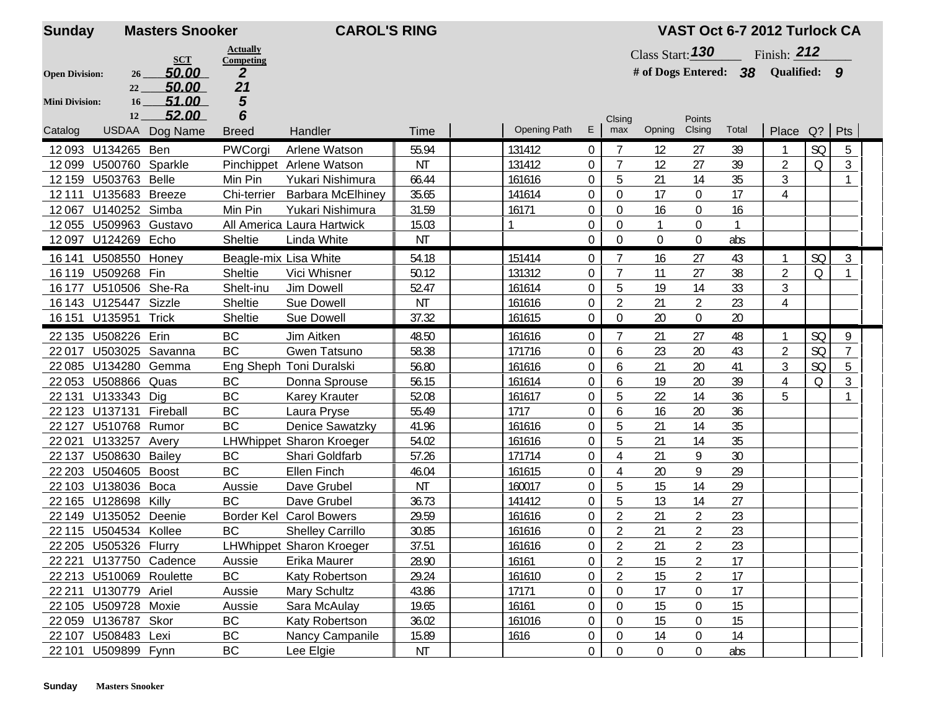| <b>Sunday</b>         |                         | <b>Masters Snooker</b> |                              | <b>CAROL'S RING</b>             |           |                     |                  |                           |                    |                | VAST Oct 6-7 2012 Turlock CA |                |           |                |
|-----------------------|-------------------------|------------------------|------------------------------|---------------------------------|-----------|---------------------|------------------|---------------------------|--------------------|----------------|------------------------------|----------------|-----------|----------------|
|                       |                         | <b>SCT</b>             | <b>Actually</b><br>Competing |                                 |           |                     |                  |                           | Class Start: $130$ |                |                              | Finish: $212$  |           |                |
| <b>Open Division:</b> | 26                      | 50.00                  | $\boldsymbol{2}$             |                                 |           |                     |                  |                           |                    |                | # of Dogs Entered: 38        | Qualified: 9   |           |                |
|                       | 22                      | 50.00                  | 21                           |                                 |           |                     |                  |                           |                    |                |                              |                |           |                |
| <b>Mini Division:</b> | 16                      | 51.00                  | 5                            |                                 |           |                     |                  |                           |                    |                |                              |                |           |                |
|                       | 12                      | 52.00                  | 6                            |                                 |           |                     |                  | Clsing                    |                    | Points         |                              |                |           |                |
| Catalog               |                         | USDAA Dog Name         | <b>Breed</b>                 | Handler                         | Time      | <b>Opening Path</b> | E                | max                       | Opning             | Clsing         | Total                        | Place Q?       |           | Pts            |
| 12093                 | U134265 Ben             |                        | PWCorgi                      | Arlene Watson                   | 55.94     | 131412              | $\overline{0}$   | 7                         | 12                 | 27             | 39                           |                | SQ        | 5              |
| 12099                 | U500760 Sparkle         |                        |                              | Pinchippet Arlene Watson        | <b>NT</b> | 131412              | $\mathbf 0$      | 7                         | 12                 | 27             | 39                           | $\overline{2}$ | Q         | 3              |
| 12 159                | U503763                 | <b>Belle</b>           | Min Pin                      | Yukari Nishimura                | 66.44     | 161616              | $\mathbf 0$      | 5                         | 21                 | 14             | 35                           | 3              |           | $\mathbf{1}$   |
| 12111                 | U135683                 | <b>Breeze</b>          | Chi-terrier                  | <b>Barbara McElhiney</b>        | 35.65     | 141614              | $\mathbf 0$      | $\mathbf 0$               | 17                 | 0              | 17                           | 4              |           |                |
| 12067                 | U140252 Simba           |                        | Min Pin                      | Yukari Nishimura                | 31.59     | 16171               | $\mathbf 0$      | $\boldsymbol{0}$          | 16                 | 0              | 16                           |                |           |                |
| 12055                 | U509963 Gustavo         |                        |                              | All America Laura Hartwick      | 15.03     |                     | $\overline{0}$   | $\mathbf{0}$              |                    | 0              | -1                           |                |           |                |
| 12097                 | U124269 Echo            |                        | <b>Sheltie</b>               | Linda White                     | NT        |                     | $\mathbf 0$      | $\Omega$                  | $\Omega$           | $\Omega$       | abs                          |                |           |                |
| 16 14 1               | U508550 Honey           |                        | Beagle-mix Lisa White        |                                 | 54.18     | 151414              | $\overline{0}$   |                           | 16                 | 27             | 43                           |                | <b>SQ</b> | 3              |
| 16119                 | U509268 Fin             |                        | <b>Sheltie</b>               | Vici Whisner                    | 50.12     | 131312              | $\boldsymbol{0}$ |                           | 11                 | 27             | 38                           | $\overline{2}$ | Q         | $\mathbf{1}$   |
| 16 177                | U510506 She-Ra          |                        | Shelt-inu                    | Jim Dowell                      | 52.47     | 161614              | $\mathbf 0$      | 5                         | 19                 | 14             | 33                           | 3              |           |                |
|                       | 16 143 U125447 Sizzle   |                        | Sheltie                      | <b>Sue Dowell</b>               | NT        | 161616              | $\mathbf 0$      | $\overline{2}$            | 21                 | $\overline{2}$ | 23                           | 4              |           |                |
|                       | 16 151 U135951 Trick    |                        | Sheltie                      | Sue Dowell                      | 37.32     | 161615              | $\mathbf 0$      | $\Omega$                  | 20                 | $\overline{0}$ | 20                           |                |           |                |
|                       | 22 135 U508226 Erin     |                        | <b>BC</b>                    | Jim Aitken                      | 48.50     | 161616              | $\overline{0}$   | $\overline{7}$            | 21                 | 27             | 48                           | 1              | SQ        | 9              |
| 22017                 | U503025                 | Savanna                | <b>BC</b>                    | Gwen Tatsuno                    | 58.38     | 171716              | $\overline{0}$   | 6                         | 23                 | 20             | 43                           | $\overline{2}$ | SQ        | $\overline{7}$ |
| 22085                 | U134280                 | Gemma                  |                              | Eng Sheph Toni Duralski         | 56.80     | 161616              | $\mathbf 0$      | 6                         | 21                 | 20             | 41                           | 3              | <b>SQ</b> | 5              |
| 22053                 | U508866                 | Quas                   | BC                           | Donna Sprouse                   | 56.15     | 161614              | $\mathbf 0$      | 6                         | 19                 | 20             | 39                           | 4              | Q         | 3              |
| 22 131                | U133343 Dig             |                        | <b>BC</b>                    | <b>Karey Krauter</b>            | 52.08     | 161617              | $\mathbf 0$      | 5                         | 22                 | 14             | 36                           | 5              |           |                |
|                       | 22 123 U137131 Fireball |                        | BC                           | Laura Pryse                     | 55.49     | 1717                | $\mathbf 0$      | 6                         | 16                 | 20             | 36                           |                |           |                |
| 22 1 27               | U510768 Rumor           |                        | <b>BC</b>                    | <b>Denice Sawatzky</b>          | 41.96     | 161616              | $\mathbf 0$      | 5                         | 21                 | 14             | 35                           |                |           |                |
| 22021                 | U133257                 | Avery                  |                              | <b>LHWhippet Sharon Kroeger</b> | 54.02     | 161616              | $\boldsymbol{0}$ | 5                         | 21                 | 14             | 35                           |                |           |                |
| 22 137                | <b>U508630 Bailey</b>   |                        | <b>BC</b>                    | Shari Goldfarb                  | 57.26     | 171714              | $\mathbf 0$      | $\boldsymbol{\varLambda}$ | 21                 | 9              | 30                           |                |           |                |
| 22 20 3               | U504605                 | <b>Boost</b>           | <b>BC</b>                    | <b>Ellen Finch</b>              | 46.04     | 161615              | $\overline{0}$   | $\boldsymbol{\varLambda}$ | 20                 | 9              | 29                           |                |           |                |
| 22 103                | U138036                 | Boca                   | Aussie                       | Dave Grubel                     | <b>NT</b> | 160017              | $\overline{0}$   | 5                         | 15                 | 14             | 29                           |                |           |                |
|                       | 22 165 U128698 Killy    |                        | <b>BC</b>                    | Dave Grubel                     | 36.73     | 141412              | $\mathbf 0$      | 5                         | 13                 | 14             | 27                           |                |           |                |
|                       | 22 149 U135052 Deenie   |                        |                              | Border Kel Carol Bowers         | 29.59     | 161616              | 0                | $\overline{2}$            | 21                 | $\overline{2}$ | 23                           |                |           |                |
|                       | 22 115 U504534 Kollee   |                        | <b>BC</b>                    | <b>Shelley Carrillo</b>         | 30.85     | 161616              | $\mathbf 0$      | $\overline{2}$            | 21                 | $\overline{2}$ | 23                           |                |           |                |
|                       | 22 205 U505326 Flurry   |                        |                              | LHWhippet Sharon Kroeger        | 37.51     | 161616              | $\overline{0}$   | $\overline{2}$            | 21                 | $\overline{2}$ | 23                           |                |           |                |
|                       |                         | 22 221 U137750 Cadence |                              | Erika Maurer                    | 28.90     | 16161               | 0                | 2                         | 15                 | 2              | 17                           |                |           |                |
|                       | 22 213 U510069 Roulette |                        | Aussie<br>BC                 | Katy Robertson                  | 29.24     | 161610              | $\mathbf 0$      | 2                         | 15                 | $\overline{2}$ | 17                           |                |           |                |
|                       | 22 211 U130779 Ariel    |                        | Aussie                       | Mary Schultz                    | 43.86     | 17171               | $\mathbf 0$      | $\theta$                  | 17                 | 0              | 17                           |                |           |                |
|                       |                         |                        | Aussie                       | Sara McAulay                    | 19.65     |                     | $\boldsymbol{0}$ | $\theta$                  | 15                 | 0              | 15                           |                |           |                |
|                       | 22 105 U509728 Moxie    |                        |                              |                                 |           | 16161               |                  |                           |                    |                |                              |                |           |                |
|                       | 22 059 U136787 Skor     |                        | BC                           | Katy Robertson                  | 36.02     | 161016              | $\mathbf 0$      | $\mathbf{0}$              | 15                 | 0              | 15                           |                |           |                |
|                       | 22 107 U508483 Lexi     |                        | <b>BC</b>                    | Nancy Campanile                 | 15.89     | 1616                | $\overline{0}$   | 0                         | 14                 | 0              | 14                           |                |           |                |
|                       | 22 101 U509899 Fynn     |                        | BC                           | Lee Elgie                       | ΝT        |                     | $\overline{0}$   | $\overline{0}$            | $\overline{0}$     | $\mathbf{0}$   | abs                          |                |           |                |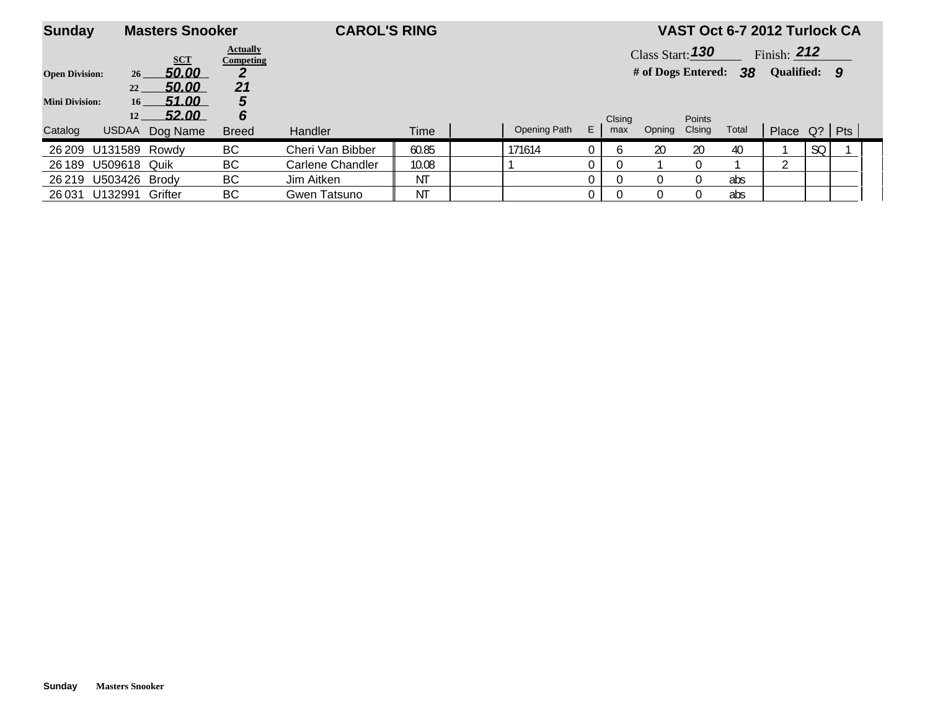| <b>Sunday</b>         |                       | <b>Masters Snooker</b> |                              | <b>CAROL'S RING</b> |       |              |    |               |                       |                  |       | VAST Oct 6-7 2012 Turlock CA |    |  |
|-----------------------|-----------------------|------------------------|------------------------------|---------------------|-------|--------------|----|---------------|-----------------------|------------------|-------|------------------------------|----|--|
|                       |                       | <b>SCT</b>             | <b>Actually</b><br>Competing |                     |       |              |    |               | Class Start: 130      |                  |       | Finish: $212$                |    |  |
| <b>Open Division:</b> | 26                    | <u>50.00</u>           |                              |                     |       |              |    |               | # of Dogs Entered: 38 |                  |       | Qualified: 9                 |    |  |
|                       | 22                    | <u>50.00</u>           | 21                           |                     |       |              |    |               |                       |                  |       |                              |    |  |
| <b>Mini Division:</b> | 16 <sup>1</sup><br>12 | 51.00<br>52.00         | 5<br>6                       |                     |       |              |    |               |                       |                  |       |                              |    |  |
| Catalog               | <b>USDAA</b>          | Dog Name               | <b>Breed</b>                 | <b>Handler</b>      | Time  | Opening Path | E. | Clsing<br>max | Opning                | Points<br>Clsing | Total | Place Q?   Pts               |    |  |
| 26 209                | U131589               | Rowdy                  | BC                           | Cheri Van Bibber    | 60.85 | 171614       | 0  |               | 20                    | 20               | 40    |                              | SQ |  |
| 26 189                | U509618 Quik          |                        | BС                           | Carlene Chandler    | 10.08 |              |    |               |                       |                  |       |                              |    |  |
| 26 219                | U503426 Brody         |                        | BС                           | Jim Aitken          | ΝT    |              |    |               |                       | $\Omega$         | abs   |                              |    |  |
| 26 0 31               | U132991               | Grifter                | BС                           | Gwen Tatsuno        | ΝT    |              |    |               |                       | $\Omega$         | abs   |                              |    |  |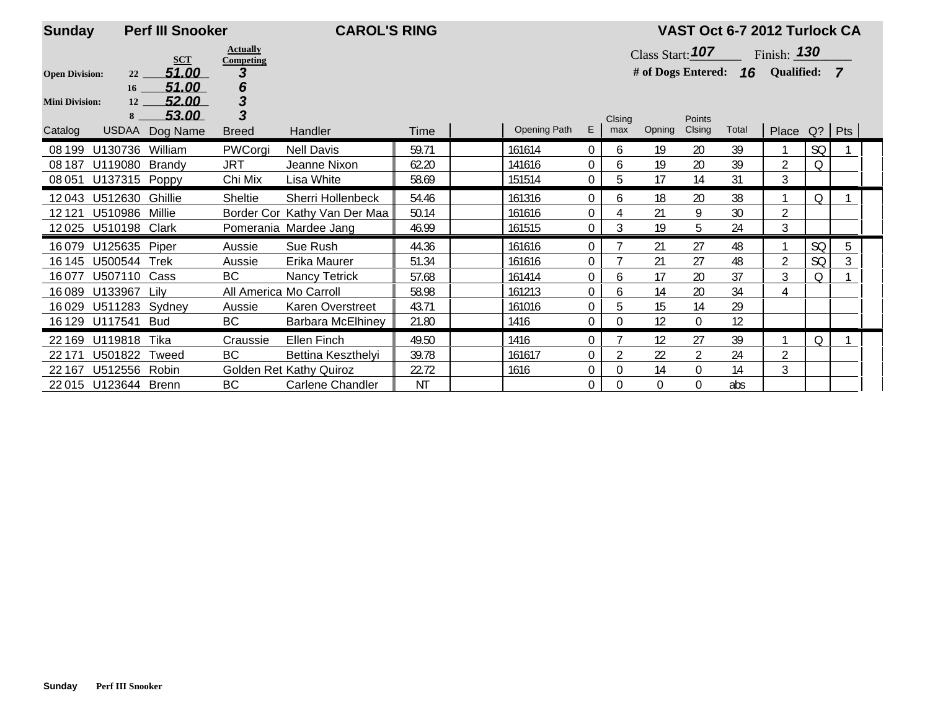| <b>Sunday</b>         |                     | <b>Perf III Snooker</b> |                              | <b>CAROL'S RING</b>          |           |              |                |             |                                    |                  | VAST Oct 6-7 2012 Turlock CA |                    |           |   |  |
|-----------------------|---------------------|-------------------------|------------------------------|------------------------------|-----------|--------------|----------------|-------------|------------------------------------|------------------|------------------------------|--------------------|-----------|---|--|
|                       |                     | <b>SCT</b>              | <b>Actually</b><br>Competing |                              |           |              |                |             | Class Start: $107$                 |                  |                              | Finish: <b>130</b> |           |   |  |
| <b>Open Division:</b> | 22                  | 51.00                   | 3                            |                              |           |              |                |             | # of Dogs Entered: 16 Qualified: 7 |                  |                              |                    |           |   |  |
|                       | 16                  | 51.00                   | 6                            |                              |           |              |                |             |                                    |                  |                              |                    |           |   |  |
| <b>Mini Division:</b> | 12                  | 52.00                   | 3                            |                              |           |              |                |             |                                    |                  |                              |                    |           |   |  |
|                       | 8                   | 53.00                   | 3                            |                              |           |              |                | Clsing      |                                    | Points           |                              |                    |           |   |  |
| Catalog               | <b>USDAA</b>        | Dog Name                | <b>Breed</b>                 | <b>Handler</b>               | Time      | Opening Path | E              | max         | Opning                             | Clsing           | Total                        | Place Q?   Pts     |           |   |  |
| 08 199                | U130736             | William                 | PWCorgi                      | <b>Nell Davis</b>            | 59.71     | 161614       | 0              | 6           | 19                                 | 20               | 39                           |                    | <b>SQ</b> |   |  |
| 08 187                | U119080 Brandy      |                         | <b>JRT</b>                   | Jeanne Nixon                 | 62.20     | 141616       | 0              | 6           | 19                                 | 20               | 39                           | $\overline{2}$     | Q         |   |  |
| 08 051                | U137315 Poppy       |                         | Chi Mix                      | Lisa White                   | 58.69     | 151514       | 0              | 5           | 17                                 | 14               | 31                           | 3                  |           |   |  |
| 12043                 | U512630 Ghillie     |                         | Sheltie                      | Sherri Hollenbeck            | 54.46     | 161316       | 0              | 6           | 18                                 | 20               | 38                           |                    | Q         |   |  |
| 12121                 | U510986             | Millie                  |                              | Border Cor Kathy Van Der Maa | 50.14     | 161616       | 0              |             | 21                                 | 9                | 30                           | $\overline{2}$     |           |   |  |
| 12025                 | U510198             | Clark                   |                              | Pomerania Mardee Jang        | 46.99     | 161515       | $\overline{0}$ | 3           | 19                                 | 5                | 24                           | 3                  |           |   |  |
| 16079                 | U125635 Piper       |                         | Aussie                       | Sue Rush                     | 44.36     | 161616       | $\overline{0}$ |             | 21                                 | 27               | 48                           |                    | <b>SQ</b> | 5 |  |
| 16 145                | U500544 Trek        |                         | Aussie                       | Erika Maurer                 | 51.34     | 161616       | 0              |             | 21                                 | 27               | 48                           | $\overline{2}$     | <b>SQ</b> | 3 |  |
| 16077                 | U507110 Cass        |                         | <b>BC</b>                    | Nancy Tetrick                | 57.68     | 161414       | 0              | 6           | 17                                 | 20               | 37                           | 3                  | Q         |   |  |
| 16089                 | U133967             | Lilv                    | All America Mo Carroll       |                              | 58.98     | 161213       | 0              | 6           | 14                                 | 20               | 34                           | 4                  |           |   |  |
| 16029                 | U511283 Sydney      |                         | Aussie                       | Karen Overstreet             | 43.71     | 161016       | 0              | 5           | 15                                 | 14               | 29                           |                    |           |   |  |
| 16 1 29               | U117541 Bud         |                         | BC                           | <b>Barbara McElhiney</b>     | 21.80     | 1416         | 0              | $\mathbf 0$ | 12                                 | $\mathbf 0$      | 12                           |                    |           |   |  |
| 22 169                | U119818             | Tika                    | Craussie                     | Ellen Finch                  | 49.50     | 1416         | 0              |             | 12                                 | 27               | 39                           |                    | Q         |   |  |
| 22 171                | U501822 Tweed       |                         | BС                           | Bettina Keszthelyi           | 39.78     | 161617       | 0              |             | 22                                 | $\overline{2}$   | 24                           | $\overline{2}$     |           |   |  |
| 22 167                | U512556 Robin       |                         |                              | Golden Ret Kathy Quiroz      | 22.72     | 1616         | 0              | 0           | 14                                 | $\boldsymbol{0}$ | 14                           | 3                  |           |   |  |
|                       | 22015 U123644 Brenn |                         | <b>BC</b>                    | Carlene Chandler             | <b>NT</b> |              | 0              | $\Omega$    | $\Omega$                           | 0                | abs                          |                    |           |   |  |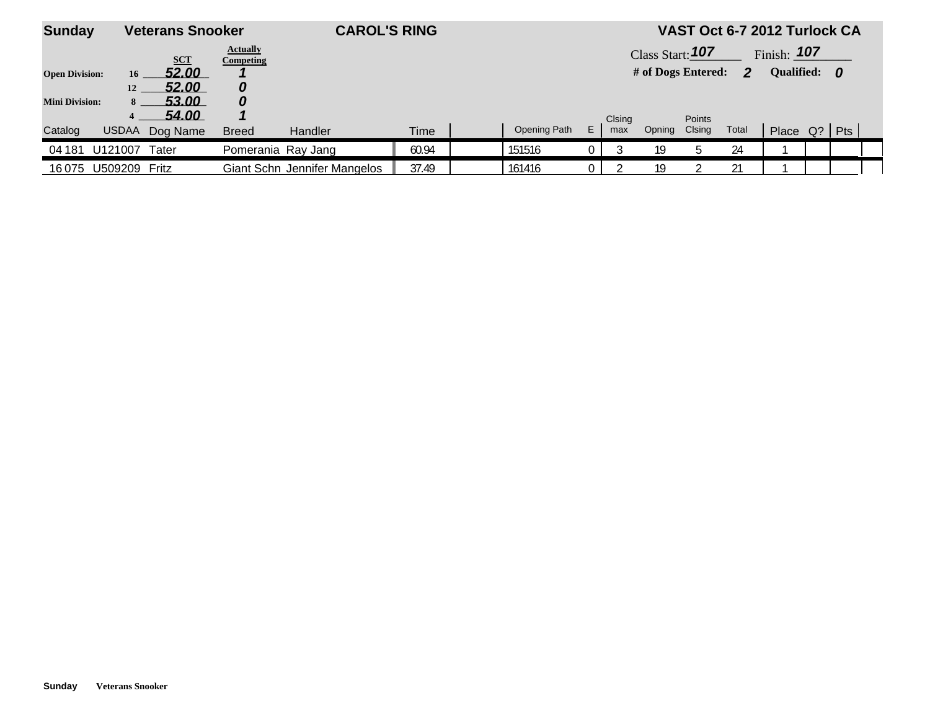| <b>Sunday</b>         |                     | <b>Veterans Snooker</b> |                                     | <b>CAROL'S RING</b>          |       |              |    |        |                    |        | VAST Oct 6-7 2012 Turlock CA |                |  |  |
|-----------------------|---------------------|-------------------------|-------------------------------------|------------------------------|-------|--------------|----|--------|--------------------|--------|------------------------------|----------------|--|--|
|                       |                     | <b>SCT</b>              | <b>Actually</b><br><b>Competing</b> |                              |       |              |    |        | Class Start: 107   |        |                              | Finish: $107$  |  |  |
| <b>Open Division:</b> | 16                  | 52.00                   |                                     |                              |       |              |    |        | # of Dogs Entered: |        | 2                            | Qualified: 0   |  |  |
|                       | 12                  | 52.00                   |                                     |                              |       |              |    |        |                    |        |                              |                |  |  |
| <b>Mini Division:</b> | 8                   | 53.00                   | 0                                   |                              |       |              |    |        |                    |        |                              |                |  |  |
|                       |                     | 54.00                   |                                     |                              |       |              |    | Clsing |                    | Points |                              |                |  |  |
| Catalog               | <b>USDAA</b>        | Dog Name                | <b>Breed</b>                        | Handler                      | Time  | Opening Path | E. | max    | Opning             | Clsing | Total                        | Place Q?   Pts |  |  |
| 04 181                | U121007             | Tater                   | Pomerania Ray Jang                  |                              | 60.94 | 151516       |    |        | 19                 |        | 24                           |                |  |  |
|                       | 16075 U509209 Fritz |                         |                                     | Giant Schn Jennifer Mangelos | 37.49 | 161416       |    |        | 19                 |        | 21                           |                |  |  |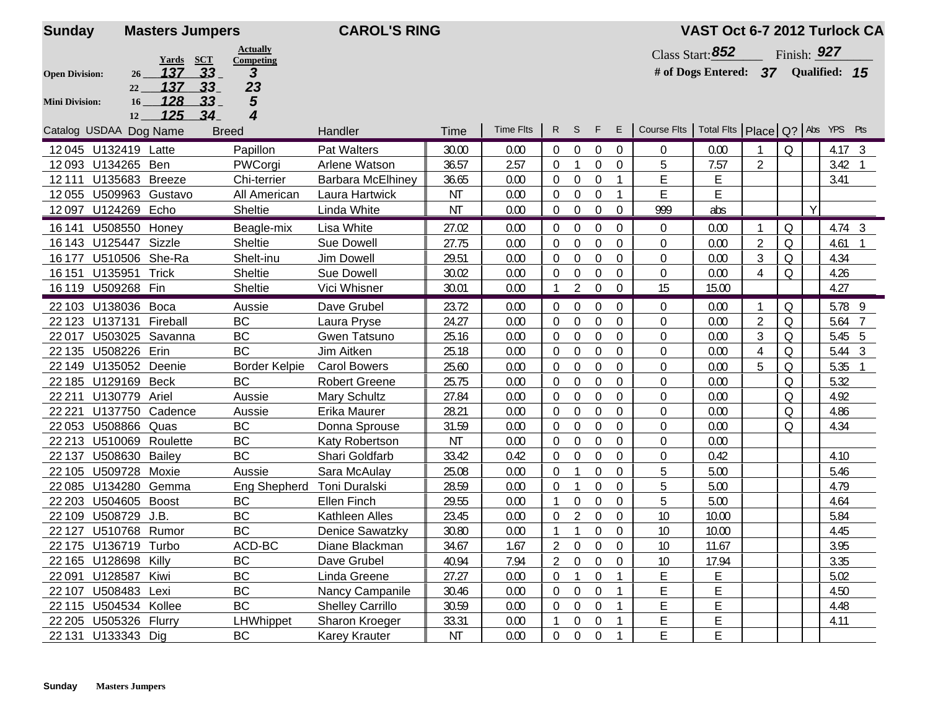| <b>Sunday</b>          | <b>Masters Jumpers</b>                    |                      | <b>CAROL'S RING</b>      |           |                  |                |                  |                  |                |                                                     | VAST Oct 6-7 2012 Turlock CA        |                |             |   |                |                |
|------------------------|-------------------------------------------|----------------------|--------------------------|-----------|------------------|----------------|------------------|------------------|----------------|-----------------------------------------------------|-------------------------------------|----------------|-------------|---|----------------|----------------|
|                        |                                           | <b>Actually</b>      |                          |           |                  |                |                  |                  |                |                                                     | Class Start: $852$                  |                | Finish: 927 |   |                |                |
| <b>Open Division:</b>  | <u>Yards SCT</u><br>137<br>$-33$<br>26    | Competing<br>3       |                          |           |                  |                |                  |                  |                |                                                     | # of Dogs Entered: 37 Qualified: 15 |                |             |   |                |                |
|                        | 137<br>33<br>22                           | 23                   |                          |           |                  |                |                  |                  |                |                                                     |                                     |                |             |   |                |                |
| <b>Mini Division:</b>  | 128<br>33 <sub>1</sub><br>16 <sup>1</sup> | 5                    |                          |           |                  |                |                  |                  |                |                                                     |                                     |                |             |   |                |                |
|                        | <u>125 </u><br>34<br>12                   | 4                    |                          |           | <b>Time Flts</b> | $R$ S          |                  | $-F$             | E              | Course Fits   Total Fits   Place   Q?   Abs YPS Pts |                                     |                |             |   |                |                |
| Catalog USDAA Dog Name |                                           | <b>Breed</b>         | Handler                  | Time      |                  |                |                  |                  |                |                                                     |                                     |                |             |   |                |                |
| 12045 U132419 Latte    |                                           | Papillon             | <b>Pat Walters</b>       | 30.00     | 0.00             | $\overline{0}$ | $\overline{0}$   | $\overline{0}$   | 0              | 0                                                   | 0.00                                |                | Q           |   | $4.17 \quad 3$ |                |
| 12093 U134265 Ben      |                                           | PWCorgi              | Arlene Watson            | 36.57     | 2.57             | $\Omega$       |                  | $\mathbf{0}$     | $\overline{0}$ | 5                                                   | 7.57                                | 2              |             |   | $3.42 \quad 1$ |                |
| 12111                  | U135683 Breeze                            | Chi-terrier          | <b>Barbara McElhiney</b> | 36.65     | 0.00             | $\Omega$       | $\overline{0}$   | $\overline{0}$   |                | E                                                   | E                                   |                |             |   | 3.41           |                |
|                        | 12055 U509963 Gustavo                     | All American         | Laura Hartwick           | NT        | 0.00             | $\overline{0}$ | $\overline{0}$   | $\boldsymbol{0}$ |                | Ε                                                   | E                                   |                |             | Y |                |                |
| 12097 U124269 Echo     |                                           | Sheltie              | Linda White              | <b>NT</b> | 0.00             | $\pmb{0}$      | $\boldsymbol{0}$ | $\overline{0}$   | $\overline{0}$ | 999                                                 | abs                                 |                |             |   |                |                |
| 16 141                 | U508550 Honey                             | Beagle-mix           | Lisa White               | 27.02     | 0.00             | $\overline{0}$ | $\overline{0}$   | $\mathbf{0}$     | $\Omega$       | 0                                                   | 0.00                                |                | Q           |   |                | $4.74 \quad 3$ |
| 16 143 U125447 Sizzle  |                                           | Sheltie              | <b>Sue Dowell</b>        | 27.75     | 0.00             | $\Omega$       | $\overline{0}$   | 0                | $\Omega$       | $\Omega$                                            | 0.00                                | 2              | 0           |   | 4.61           |                |
| 16 177                 | U510506 She-Ra                            | Shelt-inu            | Jim Dowell               | 29.51     | 0.00             | $\Omega$       | $\overline{0}$   | $\mathbf 0$      | $\Omega$       | $\overline{0}$                                      | 0.00                                | 3              | Q           |   | 4.34           |                |
| 16 15 1                | U135951 Trick                             | Sheltie              | <b>Sue Dowell</b>        | 30.02     | 0.00             | $\Omega$       | $\overline{0}$   | $\mathbf 0$      | 0              | 0                                                   | 0.00                                | 4              | Q           |   | 4.26           |                |
| 16 119 U509268 Fin     |                                           | Sheltie              | Vici Whisner             | 30.01     | 0.00             |                | 2                | $\overline{0}$   | $\Omega$       | 15                                                  | 15.00                               |                |             |   | 4.27           |                |
| 22 103 U138036 Boca    |                                           | Aussie               | Dave Grubel              | 23.72     | 0.00             | $\Omega$       | $\overline{0}$   | $\overline{0}$   | $\mathbf{0}$   | $\Omega$                                            | 0.00                                | -1             | Q           |   | 5.78 9         |                |
|                        | 22 123 U137131 Fireball                   | BC                   | Laura Pryse              | 24.27     | 0.00             | $\overline{0}$ | 0                | $\mathbf 0$      | $\Omega$       | 0                                                   | 0.00                                | $\overline{2}$ | Q           |   | 5.64           | 7              |
| 22017                  | U503025 Savanna                           | BC                   | Gwen Tatsuno             | 25.16     | 0.00             | $\overline{0}$ | $\boldsymbol{0}$ | $\boldsymbol{0}$ | 0              | 0                                                   | 0.00                                | 3              | Q           |   | 5.45 5         |                |
| 22 135                 | U508226 Erin                              | <b>BC</b>            | Jim Aitken               | 25.18     | 0.00             | $\mathbf 0$    | $\overline{0}$   | $\boldsymbol{0}$ | $\mathbf 0$    | 0                                                   | 0.00                                | 4              | Q           |   | 5.44 3         |                |
|                        | 22 149 U135052 Deenie                     | <b>Border Kelpie</b> | <b>Carol Bowers</b>      | 25.60     | 0.00             | $\mathbf 0$    | $\boldsymbol{0}$ | $\boldsymbol{0}$ | $\overline{0}$ | 0                                                   | 0.00                                | 5              | Q           |   | 5.35           |                |
| 22 185 U129169 Beck    |                                           | <b>BC</b>            | <b>Robert Greene</b>     | 25.75     | 0.00             | $\overline{0}$ | $\overline{0}$   | $\mathbf{0}$     | $\Omega$       | $\mathbf{0}$                                        | 0.00                                |                | Q           |   | 5.32           |                |
| 22 2 11                | U130779 Ariel                             | Aussie               | Mary Schultz             | 27.84     | 0.00             | $\Omega$       | 0                | $\mathbf 0$      | $\theta$       | $\Omega$                                            | 0.00                                |                | Q           |   | 4.92           |                |
| 22 2 2 1               | U137750 Cadence                           | Aussie               | Erika Maurer             | 28.21     | 0.00             | $\Omega$       | $\overline{0}$   | $\mathbf{0}$     | $\theta$       | $\Omega$                                            | 0.00                                |                | Q           |   | 4.86           |                |
| 22 053 U508866 Quas    |                                           | <b>BC</b>            | Donna Sprouse            | 31.59     | 0.00             | $\Omega$       | $\boldsymbol{0}$ | $\boldsymbol{0}$ | $\theta$       | $\Omega$                                            | 0.00                                |                | Q           |   | 4.34           |                |
|                        | 22 213 U510069 Roulette                   | BC                   | Katy Robertson           | <b>NT</b> | 0.00             | $\Omega$       | 0                | $\overline{0}$   | $\Omega$       | $\mathbf{0}$                                        | 0.00                                |                |             |   |                |                |
| 22 137                 | <b>U508630 Bailey</b>                     | <b>BC</b>            | Shari Goldfarb           | 33.42     | 0.42             | $\mathbf 0$    | $\boldsymbol{0}$ | $\mathbf 0$      | 0              | 0                                                   | 0.42                                |                |             |   | 4.10           |                |
| 22 105                 | U509728 Moxie                             | Aussie               | Sara McAulay             | 25.08     | 0.00             | $\mathbf 0$    |                  | $\overline{0}$   | $\overline{0}$ | 5                                                   | 5.00                                |                |             |   | 5.46           |                |
|                        | 22 085 U134280 Gemma                      | Eng Shepherd         | Toni Duralski            | 28.59     | 0.00             | $\mathbf 0$    |                  | $\boldsymbol{0}$ | 0              | 5                                                   | 5.00                                |                |             |   | 4.79           |                |
| 22 203 U504605 Boost   |                                           | BC                   | <b>Ellen Finch</b>       | 29.55     | 0.00             |                | 0                | 0                | $\Omega$       | 5                                                   | 5.00                                |                |             |   | 4.64           |                |
| 22 109 U508729 J.B.    |                                           | <b>BC</b>            | Kathleen Alles           | 23.45     | 0.00             | $\Omega$       | 2                | $\mathbf 0$      | $\theta$       | 10                                                  | 10.00                               |                |             |   | 5.84           |                |
|                        | 22 127 U510768 Rumor                      | <b>BC</b>            | <b>Denice Sawatzky</b>   | 30.80     | 0.00             |                |                  | $\overline{0}$   | $\mathbf{0}$   | 10                                                  | 10.00                               |                |             |   | 4.45           |                |
| 22 175 U136719 Turbo   |                                           | ACD-BC               | Diane Blackman           | 34.67     | 1.67             | $\overline{2}$ | $\overline{0}$   | $\overline{0}$   | $\overline{0}$ | $10$                                                | 11.67                               |                |             |   | 3.95           |                |
| 22 165 U128698 Killy   |                                           | BC                   | Dave Grubel              | 40.94     | 7.94             | 2              | $\overline{0}$   | $\bf{0}$         | $\overline{0}$ | 10                                                  | 17.94                               |                |             |   | 3.35           |                |
| 22 091 U128587 Kiwi    |                                           | BC                   | Linda Greene             | 27.27     | 0.00             | $\overline{0}$ |                  | $\boldsymbol{0}$ |                | E                                                   | E                                   |                |             |   | 5.02           |                |
| 22 107 U508483 Lexi    |                                           | $\sf BC$             | Nancy Campanile          | 30.46     | 0.00             | $\overline{0}$ | $\overline{0}$   | $\boldsymbol{0}$ |                | E                                                   | E                                   |                |             |   | 4.50           |                |
| 22 115 U504534 Kollee  |                                           | BC                   | <b>Shelley Carrillo</b>  | 30.59     | 0.00             | $\overline{0}$ | $\overline{0}$   | $\overline{0}$   |                | E                                                   | E                                   |                |             |   | 4.48           |                |
| 22 205 U505326 Flurry  |                                           | LHWhippet            | Sharon Kroeger           | 33.31     | 0.00             |                | 0                | $\boldsymbol{0}$ |                | E                                                   | E                                   |                |             |   | 4.11           |                |
| 22 131 U133343 Dig     |                                           | BC                   | <b>Karey Krauter</b>     | <b>NT</b> | 0.00             | 0              | $\boldsymbol{0}$ | $\boldsymbol{0}$ |                | E                                                   | E                                   |                |             |   |                |                |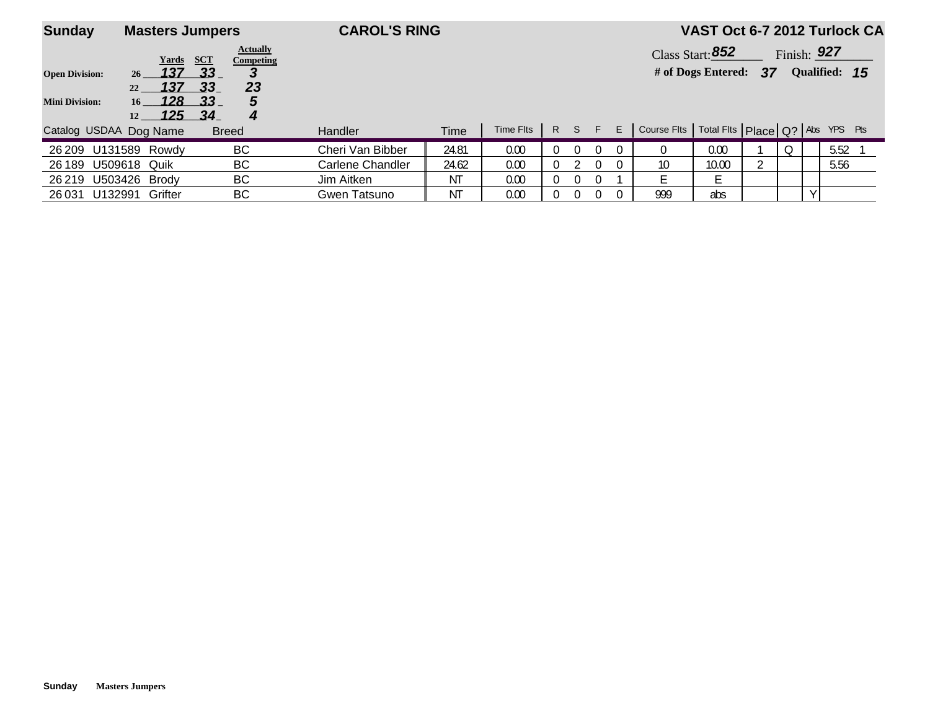| <b>Sunday</b>                                  | <b>Masters Jumpers</b>                                             |                                                                                       | <b>CAROL'S RING</b> |       |           |          |     |          |    |                                                     |                                          |    |          |               | VAST Oct 6-7 2012 Turlock CA |
|------------------------------------------------|--------------------------------------------------------------------|---------------------------------------------------------------------------------------|---------------------|-------|-----------|----------|-----|----------|----|-----------------------------------------------------|------------------------------------------|----|----------|---------------|------------------------------|
| <b>Open Division:</b><br><b>Mini Division:</b> | Yards<br>137<br>26<br>137<br>22<br>128<br>16<br><u> 125 </u><br>12 | <b>Actually</b><br>SCT<br>Competing<br>$-33$<br>3<br>23<br>33<br>33<br>5<br>- 34<br>4 |                     |       |           |          |     |          |    |                                                     | Class Start: $852$<br># of Dogs Entered: | 37 |          | Finish: $927$ | Qualified: 15                |
| Catalog USDAA Dog Name                         |                                                                    | <b>Breed</b>                                                                          | <b>Handler</b>      | Time  | Time Flts |          | R S | -F       | E. | Course Fits   Total Fits   Place   Q?   Abs YPS Pts |                                          |    |          |               |                              |
| 26 209                                         | U131589 Rowdy                                                      | BС                                                                                    | Cheri Van Bibber    | 24.81 | 0.00      | 0        |     | $\Omega$ |    | 0                                                   | 0.00                                     |    | $\Omega$ |               | 5.52                         |
| 26 189                                         | <b>U509618 Quik</b>                                                | BС                                                                                    | Carlene Chandler    | 24.62 | 0.00      | 0        |     | 0        |    | 10                                                  | 10.00                                    |    |          |               | 5.56                         |
| 26 219                                         | U503426 Brody                                                      | BС                                                                                    | Jim Aitken          | ΝT    | 0.00      | 0        |     |          |    |                                                     |                                          |    |          |               |                              |
| U132991<br>26 031                              | Grifter                                                            | BС                                                                                    | Gwen Tatsuno        | ΝT    | 0.00      | $\Omega$ |     | $\Omega$ |    | 999                                                 | abs                                      |    |          |               |                              |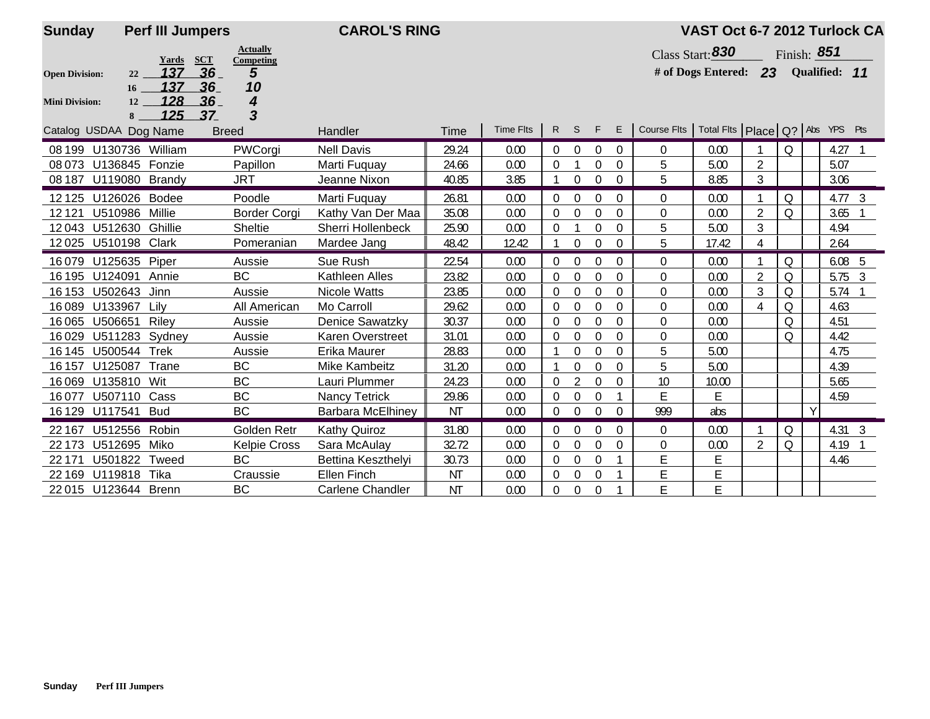| <b>Sunday</b>          | <b>Perf III Jumpers</b> |                                            | <b>CAROL'S RING</b>          |                |                  |          |                  |                      |                            |                                                     | VAST Oct 6-7 2012 Turlock CA |                |             |   |                   |               |
|------------------------|-------------------------|--------------------------------------------|------------------------------|----------------|------------------|----------|------------------|----------------------|----------------------------|-----------------------------------------------------|------------------------------|----------------|-------------|---|-------------------|---------------|
|                        | <b>Yards</b>            | <b>Actually</b><br><b>SCT</b><br>Competing |                              |                |                  |          |                  |                      |                            |                                                     | Class Start: 830             |                | Finish: 851 |   |                   |               |
| <b>Open Division:</b>  | 137<br>22               | 36<br>5                                    |                              |                |                  |          |                  |                      |                            |                                                     | # of Dogs Entered: 23        |                |             |   | Qualified: 11     |               |
|                        | 137<br>16               | 36<br>10                                   |                              |                |                  |          |                  |                      |                            |                                                     |                              |                |             |   |                   |               |
| <b>Mini Division:</b>  | 128<br>12<br>125<br>8   | 36<br>4<br>3<br>37                         |                              |                |                  |          |                  |                      |                            |                                                     |                              |                |             |   |                   |               |
| Catalog USDAA Dog Name |                         | <b>Breed</b>                               | Handler                      | Time           | <b>Time Flts</b> |          | $R$ S            | F                    | E                          | Course Flts   Total Flts   Place   Q?   Abs YPS Pts |                              |                |             |   |                   |               |
|                        |                         |                                            |                              |                |                  |          |                  |                      |                            |                                                     |                              |                |             |   |                   |               |
|                        | 08 199 U130736 William  | PWCorgi                                    | <b>Nell Davis</b>            | 29.24          | 0.00             | 0        | $\overline{0}$   | $\overline{0}$       | $\mathbf 0$                | 0                                                   | 0.00                         |                | $\Omega$    |   | $4.27$ 1          |               |
| 08 073 U136845 Fonzie  | 08 187 U119080 Brandy   | Papillon<br>JRT                            | Marti Fuguay<br>Jeanne Nixon | 24.66<br>40.85 | 0.00<br>3.85     | $\Omega$ | $\overline{0}$   | $\Omega$<br>$\theta$ | $\overline{0}$<br>$\Omega$ | 5<br>5                                              | 5.00<br>8.85                 | 2<br>3         |             |   | 5.07<br>3.06      |               |
|                        |                         |                                            |                              |                |                  |          |                  |                      |                            |                                                     |                              |                |             |   |                   |               |
| 12 1 25                | U126026 Bodee           | Poodle                                     | Marti Fuguay                 | 26.81          | 0.00             | 0        | $\mathbf 0$      | $\Omega$             | $\Omega$                   | $\Omega$                                            | 0.00                         |                | $\Omega$    |   | $4.77 \quad 3$    |               |
| 12121                  | U510986 Millie          | <b>Border Corgi</b>                        | Kathy Van Der Maa            | 35.08          | 0.00             | 0        | $\Omega$         | $\Omega$             | $\theta$                   | 0                                                   | 0.00                         | $\overline{2}$ | $\Omega$    |   | 3.65              | $\mathbf{1}$  |
| 12043 U512630 Ghillie  |                         | Sheltie                                    | Sherri Hollenbeck            | 25.90          | 0.00             | $\Omega$ |                  | $\Omega$             | $\mathbf 0$                | 5                                                   | 5.00                         | 3              |             |   | 4.94              |               |
| 12025 U510198 Clark    |                         | Pomeranian                                 | Mardee Jang                  | 48.42          | 12.42            |          | $\overline{0}$   | $\Omega$             | $\Omega$                   | 5                                                   | 17.42                        | 4              |             |   | 2.64              |               |
| U125635<br>16079       | Piper                   | Aussie                                     | Sue Rush                     | 22.54          | 0.00             | 0        | $\overline{0}$   | $\Omega$             | $\Omega$                   | $\Omega$                                            | 0.00                         |                | $\Omega$    |   | 6.08 <sub>5</sub> |               |
| 16 195                 | U124091 Annie           | <b>BC</b>                                  | Kathleen Alles               | 23.82          | 0.00             | $\Omega$ | $\overline{0}$   | $\Omega$             | $\theta$                   | 0                                                   | 0.00                         | $\overline{2}$ | Q           |   | 5.75              | $\frac{3}{2}$ |
| U502643<br>16 153      | Jinn                    | Aussie                                     | <b>Nicole Watts</b>          | 23.85          | 0.00             | $\Omega$ | $\mathbf 0$      | $\Omega$             | $\theta$                   | $\overline{0}$                                      | 0.00                         | 3              | $\Omega$    |   | 5.74              | $\mathbf{1}$  |
| 16089<br>U133967       | Lilv                    | All American                               | Mo Carroll                   | 29.62          | 0.00             | $\Omega$ | $\Omega$         | $\Omega$             | $\Omega$                   | $\Omega$                                            | 0.00                         | 4              | $\Omega$    |   | 4.63              |               |
| 16065<br>U506651       | Riley                   | Aussie                                     | Denice Sawatzky              | 30.37          | 0.00             | 0        | $\overline{0}$   | $\mathbf 0$          | $\mathbf{0}$               | $\overline{0}$                                      | 0.00                         |                | $\Omega$    |   | 4.51              |               |
| 16029                  | U511283 Sydney          | Aussie                                     | Karen Overstreet             | 31.01          | 0.00             | $\Omega$ | $\mathbf 0$      | $\Omega$             | $\mathbf 0$                | $\theta$                                            | 0.00                         |                | $\Omega$    |   | 4.42              |               |
| U500544<br>16 145      | Trek                    | Aussie                                     | Erika Maurer                 | 28.83          | 0.00             |          | $\boldsymbol{0}$ | $\Omega$             | $\theta$                   | 5                                                   | 5.00                         |                |             |   | 4.75              |               |
| U125087<br>16 157      | Trane                   | BC                                         | <b>Mike Kambeitz</b>         | 31.20          | 0.00             |          | $\overline{0}$   | $\Omega$             | $\Omega$                   | 5                                                   | 5.00                         |                |             |   | 4.39              |               |
| 16069                  | U135810<br>Wit          | <b>BC</b>                                  | Lauri Plummer                | 24.23          | 0.00             | $\Omega$ | $\overline{2}$   | $\theta$             | $\theta$                   | 10                                                  | 10.00                        |                |             |   | 5.65              |               |
| 16077                  | U507110 Cass            | <b>BC</b>                                  | <b>Nancy Tetrick</b>         | 29.86          | 0.00             | 0        | $\mathbf 0$      | $\Omega$             |                            | E                                                   | F                            |                |             |   | 4.59              |               |
| 16 129 U117541 Bud     |                         | BC                                         | Barbara McElhiney            | <b>NT</b>      | 0.00             | $\Omega$ | $\boldsymbol{0}$ | $\theta$             | $\Omega$                   | 999                                                 | abs                          |                |             | Y |                   |               |
| 22 167                 | U512556 Robin           | Golden Retr                                | Kathy Quiroz                 | 31.80          | 0.00             | 0        | $\overline{0}$   | $\Omega$             | $\Omega$                   | $\Omega$                                            | 0.00                         |                | $\Omega$    |   | $4.31 \quad 3$    |               |
| 22 173                 | U512695<br>Miko         | <b>Kelpie Cross</b>                        | Sara McAulay                 | 32.72          | 0.00             | $\Omega$ | $\overline{0}$   | $\Omega$             | $\theta$                   | $\theta$                                            | 0.00                         | 2              | $\Omega$    |   | 4.19              | $\mathbf{1}$  |
| 22 171                 | U501822 Tweed           | BC                                         | Bettina Keszthelyi           | 30.73          | 0.00             | 0        | $\mathbf 0$      | $\Omega$             |                            | E                                                   | E                            |                |             |   | 4.46              |               |
| U119818<br>22 169      | Tika                    | Craussie                                   | <b>Ellen Finch</b>           | ΝT             | 0.00             | 0        | $\boldsymbol{0}$ | 0                    |                            | E                                                   | Ε                            |                |             |   |                   |               |
| 22015 U123644 Brenn    |                         | <b>BC</b>                                  | <b>Carlene Chandler</b>      | <b>NT</b>      | 0.00             | 0        | $\overline{0}$   | $\Omega$             |                            | E                                                   | E                            |                |             |   |                   |               |